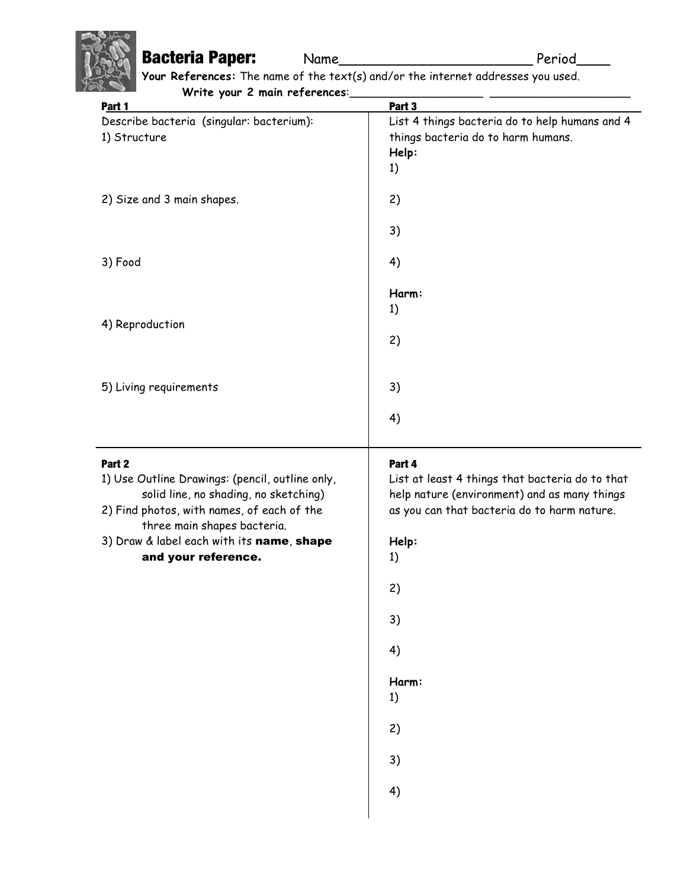## **Bacteria Paper:** Name\_\_\_\_\_\_\_\_\_\_\_\_\_\_\_\_\_\_\_\_\_\_Period\_\_\_\_

**Your References:** The name of the text(s) and/or the internet addresses you used. Write your 2 main references:

| $V = V = V = V = V$<br>Part 1                                            | Part 3                                          |
|--------------------------------------------------------------------------|-------------------------------------------------|
| Describe bacteria (singular: bacterium):                                 | List 4 things bacteria do to help humans and 4  |
| 1) Structure                                                             | things bacteria do to harm humans.              |
|                                                                          | Help:                                           |
|                                                                          | 1)                                              |
| 2) Size and 3 main shapes.                                               | 2)                                              |
|                                                                          |                                                 |
|                                                                          | 3)                                              |
| 3) Food                                                                  | 4)                                              |
|                                                                          |                                                 |
|                                                                          | Harm:                                           |
| 4) Reproduction                                                          | 1)                                              |
|                                                                          | 2)                                              |
|                                                                          |                                                 |
|                                                                          |                                                 |
| 5) Living requirements                                                   | 3)                                              |
|                                                                          | 4)                                              |
|                                                                          |                                                 |
| Part 2                                                                   | Part 4                                          |
| 1) Use Outline Drawings: (pencil, outline only,                          | List at least 4 things that bacteria do to that |
| solid line, no shading, no sketching)                                    | help nature (environment) and as many things    |
| 2) Find photos, with names, of each of the                               | as you can that bacteria do to harm nature.     |
| three main shapes bacteria.<br>3) Draw & label each with its name, shape | Help:                                           |
| and your reference.                                                      | 1)                                              |
|                                                                          |                                                 |
|                                                                          | 2)                                              |
|                                                                          | 3)                                              |
|                                                                          |                                                 |
|                                                                          | 4)                                              |
|                                                                          | Harm:                                           |
|                                                                          | 1)                                              |
|                                                                          |                                                 |
|                                                                          | 2)                                              |
|                                                                          | 3)                                              |
|                                                                          | 4)                                              |
|                                                                          |                                                 |
|                                                                          |                                                 |